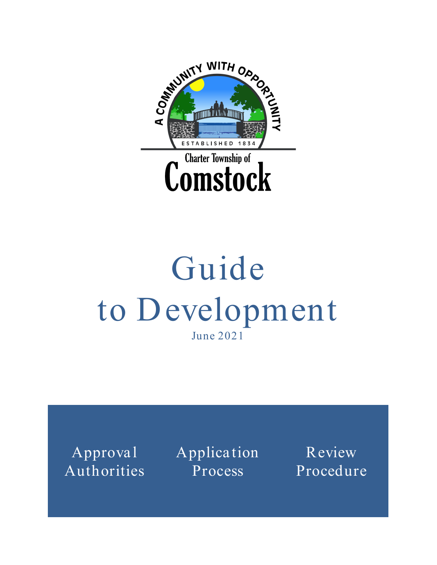

# Guide to Development June 2021

Authorities

Approval Application **Process** 

Review Procedure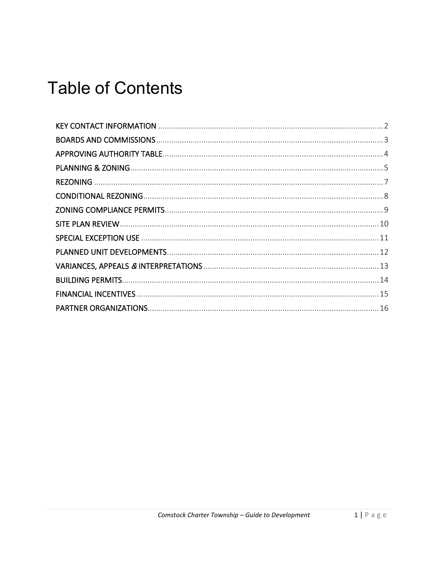### **Table of Contents**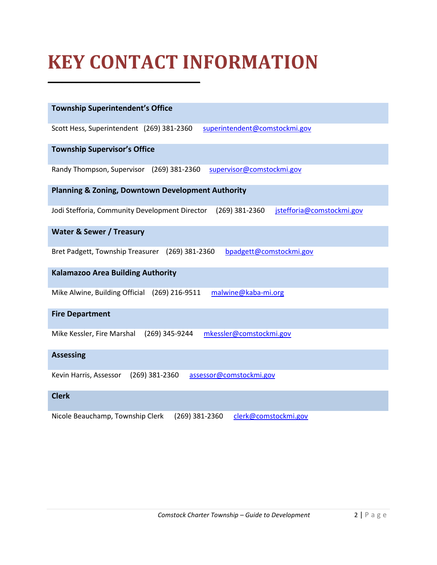### <span id="page-2-0"></span>**KEY CONTACT INFORMATION**

**\_\_\_\_\_\_\_\_\_\_\_\_\_\_\_\_\_\_\_\_\_\_\_\_\_\_\_\_\_\_\_\_**

| <b>Township Superintendent's Office</b>                                                       |
|-----------------------------------------------------------------------------------------------|
| Scott Hess, Superintendent (269) 381-2360<br>superintendent@comstockmi.gov                    |
| <b>Township Supervisor's Office</b>                                                           |
| Randy Thompson, Supervisor (269) 381-2360<br>supervisor@comstockmi.gov                        |
| <b>Planning &amp; Zoning, Downtown Development Authority</b>                                  |
|                                                                                               |
| Jodi Stefforia, Community Development Director<br>(269) 381-2360<br>jstefforia@comstockmi.gov |
| <b>Water &amp; Sewer / Treasury</b>                                                           |
|                                                                                               |
| Bret Padgett, Township Treasurer<br>$(269)$ 381-2360<br>bpadgett@comstockmi.gov               |
|                                                                                               |
| <b>Kalamazoo Area Building Authority</b>                                                      |
| Mike Alwine, Building Official (269) 216-9511<br>malwine@kaba-mi.org                          |
| <b>Fire Department</b>                                                                        |
|                                                                                               |
| mkessler@comstockmi.gov<br>Mike Kessler, Fire Marshal<br>(269) 345-9244                       |
| <b>Assessing</b>                                                                              |
|                                                                                               |
| Kevin Harris, Assessor<br>$(269)$ 381-2360<br>assessor@comstockmi.gov                         |
| <b>Clerk</b>                                                                                  |
|                                                                                               |
| Nicole Beauchamp, Township Clerk<br>(269) 381-2360<br>clerk@comstockmi.gov                    |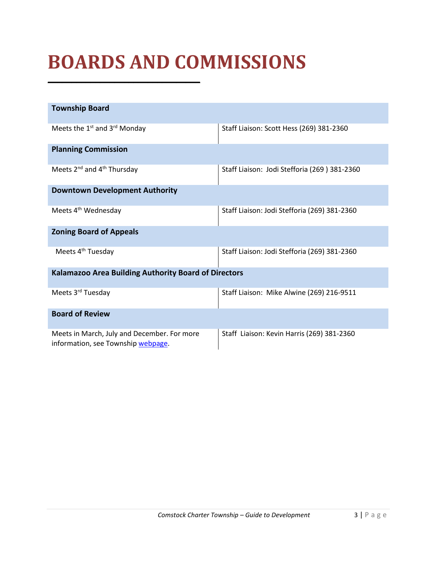### <span id="page-3-0"></span>**BOARDS AND COMMISSIONS**

**\_\_\_\_\_\_\_\_\_\_\_\_\_\_\_\_\_\_\_\_\_\_\_\_\_\_\_\_\_\_\_\_**

| <b>Township Board</b>                                                             |                                              |  |  |  |
|-----------------------------------------------------------------------------------|----------------------------------------------|--|--|--|
| Meets the 1 <sup>st</sup> and 3 <sup>rd</sup> Monday                              | Staff Liaison: Scott Hess (269) 381-2360     |  |  |  |
| <b>Planning Commission</b>                                                        |                                              |  |  |  |
| Meets 2 <sup>nd</sup> and 4 <sup>th</sup> Thursday                                | Staff Liaison: Jodi Stefforia (269) 381-2360 |  |  |  |
| <b>Downtown Development Authority</b>                                             |                                              |  |  |  |
| Meets 4 <sup>th</sup> Wednesday                                                   | Staff Liaison: Jodi Stefforia (269) 381-2360 |  |  |  |
| <b>Zoning Board of Appeals</b>                                                    |                                              |  |  |  |
| Meets 4 <sup>th</sup> Tuesday                                                     | Staff Liaison: Jodi Stefforia (269) 381-2360 |  |  |  |
| Kalamazoo Area Building Authority Board of Directors                              |                                              |  |  |  |
| Meets 3 <sup>rd</sup> Tuesday                                                     | Staff Liaison: Mike Alwine (269) 216-9511    |  |  |  |
| <b>Board of Review</b>                                                            |                                              |  |  |  |
| Meets in March, July and December. For more<br>information, see Township webpage. | Staff Liaison: Kevin Harris (269) 381-2360   |  |  |  |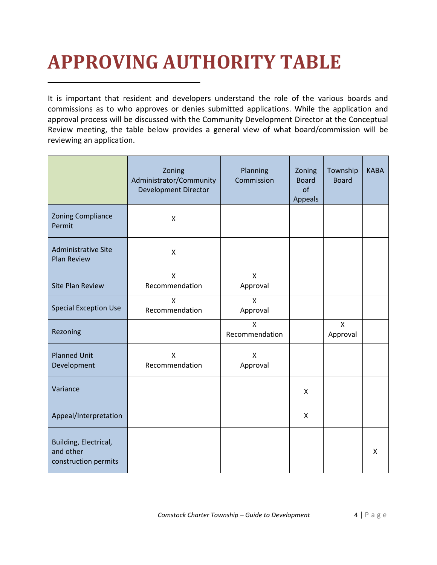## <span id="page-4-0"></span>**APPROVING AUTHORITY TABLE**

**\_\_\_\_\_\_\_\_\_\_\_\_\_\_\_\_\_\_\_\_\_\_\_\_\_\_\_\_\_\_\_\_**

It is important that resident and developers understand the role of the various boards and commissions as to who approves or denies submitted applications. While the application and approval process will be discussed with the Community Development Director at the Conceptual Review meeting, the table below provides a general view of what board/commission will be reviewing an application.

|                                                            | Zoning<br>Administrator/Community<br><b>Development Director</b> | Planning<br>Commission | Zoning<br><b>Board</b><br>of<br><b>Appeals</b> | Township<br><b>Board</b> | <b>KABA</b> |
|------------------------------------------------------------|------------------------------------------------------------------|------------------------|------------------------------------------------|--------------------------|-------------|
| <b>Zoning Compliance</b><br>Permit                         | X                                                                |                        |                                                |                          |             |
| <b>Administrative Site</b><br><b>Plan Review</b>           | X                                                                |                        |                                                |                          |             |
| <b>Site Plan Review</b>                                    | $\mathsf{x}$<br>Recommendation                                   | X<br>Approval          |                                                |                          |             |
| <b>Special Exception Use</b>                               | $\mathsf{x}$<br>Recommendation                                   | X<br>Approval          |                                                |                          |             |
| Rezoning                                                   |                                                                  | X<br>Recommendation    |                                                | $\mathsf{x}$<br>Approval |             |
| <b>Planned Unit</b><br>Development                         | $\mathsf{x}$<br>Recommendation                                   | X<br>Approval          |                                                |                          |             |
| Variance                                                   |                                                                  |                        | X                                              |                          |             |
| Appeal/Interpretation                                      |                                                                  |                        | X                                              |                          |             |
| Building, Electrical,<br>and other<br>construction permits |                                                                  |                        |                                                |                          | X           |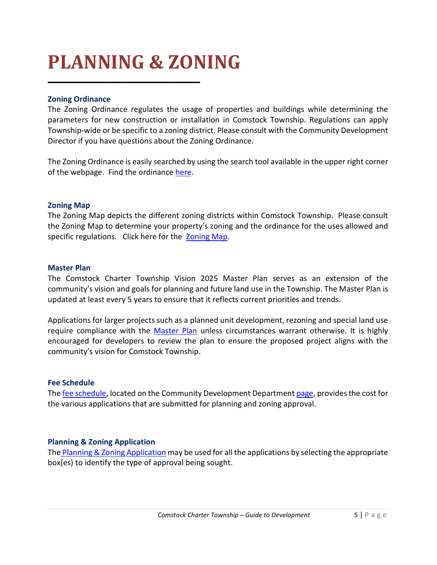### <span id="page-5-0"></span>**PLANNING & ZONING**

**\_\_\_\_\_\_\_\_\_\_\_\_\_\_\_\_\_\_\_\_\_\_\_\_\_\_\_\_\_\_\_\_**

### **Zoning Ordinance**

The Zoning Ordinance regulates the usage of properties and buildings while determining the parameters for new construction or installation in Comstock Township. Regulations can apply Township-wide or be specific to a zoning district. Please consult with the Community Development Director if you have questions about the Zoning Ordinance.

The Zoning Ordinance is easily searched by using the search tool available in the upper right corner of the webpage. Find the ordinance [here.](https://library.municode.com/mi/comstock_charter_township,_(_kalamazoo_co.)/codes/zoning?nodeId=PT300)

#### **Zoning Map**

The Zoning Map depicts the different zoning districts within Comstock Township. Please consult the Zoning Map to determine your property's zoning and the ordinance for the uses allowed and specific regulations. Click here for the [Zoning Map.](https://comstockmi.gov/wp-content/uploads/2020/10/8-5x11ZoningMap_P.pdf)

#### **Master Plan**

The Comstock Charter Township Vision 2025 Master Plan serves as an extension of the community's vision and goals for planning and future land use in the Township. The Master Plan is updated at least every 5 years to ensure that it reflects current priorities and trends.

Applications for larger projects such as a planned unit development, rezoning and special land use require compliance with the [Master Plan](https://www.comstockmi.gov/wp-content/uploads/2019/10/forviewingonlineandonacomputer-masterplanspreads08-03-16.pdf) unless circumstances warrant otherwise. It is highly encouraged for developers to review the plan to ensure the proposed project aligns with the community's vision for Comstock Township.

#### **Fee Schedule**

Th[e fee schedule,](https://comstockmi.gov/wp-content/uploads/2021/05/Planning-and-Zoning-Fee-Schedule.pdf) located on the Community Development Departmen[t page,](https://comstockmi.gov/community-development/) provides the cost for the various applications that are submitted for planning and zoning approval.

### **Planning & Zoning Application**

The [Planning & Zoning Application](https://comstockmi.gov/wp-content/uploads/2020/09/1a-Planning-and-Zoning-Application-Form-FILLABLE_Sept2020.pdf) may be used for all the applications by selecting the appropriate box(es) to identify the type of approval being sought.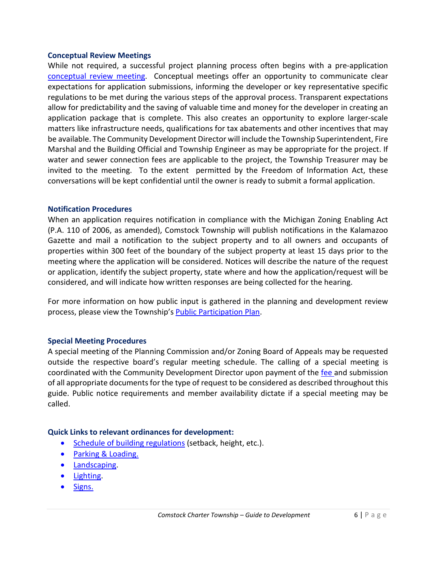#### **Conceptual Review Meetings**

While not required, a successful project planning process often begins with a pre-application [conceptual review](https://comstockmi.gov/wp-content/uploads/2020/03/Conceptual-Review-Meeting.pdf) meeting. Conceptual meetings offer an opportunity to communicate clear expectations for application submissions, informing the developer or key representative specific regulations to be met during the various steps of the approval process. Transparent expectations allow for predictability and the saving of valuable time and money for the developer in creating an application package that is complete. This also creates an opportunity to explore larger-scale matters like infrastructure needs, qualifications for tax abatements and other incentives that may be available. The Community Development Director will include the Township Superintendent, Fire Marshal and the Building Official and Township Engineer as may be appropriate for the project. If water and sewer connection fees are applicable to the project, the Township Treasurer may be invited to the meeting. To the extent permitted by the Freedom of Information Act, these conversations will be kept confidential until the owner is ready to submit a formal application.

#### **Notification Procedures**

When an application requires notification in compliance with the Michigan Zoning Enabling Act (P.A. 110 of 2006, as amended), Comstock Township will publish notifications in the Kalamazoo Gazette and mail a notification to the subject property and to all owners and occupants of properties within 300 feet of the boundary of the subject property at least 15 days prior to the meeting where the application will be considered. Notices will describe the nature of the request or application, identify the subject property, state where and how the application/request will be considered, and will indicate how written responses are being collected for the hearing.

For more information on how public input is gathered in the planning and development review process, please view the Township's [Public Participation Plan.](https://www.comstockmi.gov/wp-content/uploads/2019/11/publicparticipationplan-march2019-1.pdf)

#### **Special Meeting Procedures**

A special meeting of the Planning Commission and/or Zoning Board of Appeals may be requested outside the respective board's regular meeting schedule. The calling of a special meeting is coordinated with the Community Development Director upon payment of the [fee a](https://comstockmi.gov/wp-content/uploads/2021/05/Planning-and-Zoning-Fee-Schedule.pdf)nd submission of all appropriate documents for the type of request to be considered as described throughout this guide. Public notice requirements and member availability dictate if a special meeting may be called.

#### **Quick Links to relevant ordinances for development:**

- [Schedule of building regulations](https://library.municode.com/mi/comstock_charter_township,_(_kalamazoo_co.)/codes/zoning?nodeId=PT300_300.000ZOORORNO156ADNO11976EFJA11977_ART23.00) (setback, height, etc.).
- [Parking & Loading.](https://library.municode.com/mi/comstock_charter_township,_(_kalamazoo_co.)/codes/zoning?nodeId=PT300_300.000ZOORORNO156ADNO11976EFJA11977_ART6.00)
- [Landscaping.](https://library.municode.com/mi/comstock_charter_township,_(_kalamazoo_co.)/codes/zoning?nodeId=PT300_300.000ZOORORNO156ADNO11976EFJA11977_ART21.50)
- [Lighting.](https://library.municode.com/mi/comstock_charter_township,_(_kalamazoo_co.)/codes/zoning?nodeId=PT300_300.000ZOORORNO156ADNO11976EFJA11977_ART8.50)
- [Signs.](https://library.municode.com/mi/comstock_charter_township,_(_kalamazoo_co.)/codes/zoning?nodeId=PT300_300.000ZOORORNO156ADNO11976EFJA11977_ART8.00_300.800SI)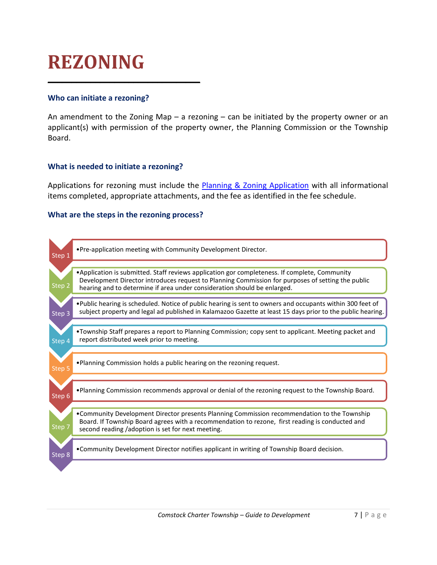### <span id="page-7-0"></span>**REZONING**

### **Who can initiate a rezoning?**

An amendment to the Zoning Map  $-$  a rezoning  $-$  can be initiated by the property owner or an applicant(s) with permission of the property owner, the Planning Commission or the Township Board.

### **What is needed to initiate a rezoning?**

**\_\_\_\_\_\_\_\_\_\_\_\_\_\_\_\_\_\_\_\_\_\_\_\_\_\_\_\_\_\_\_\_**

Applications for rezoning must include the [Planning & Zoning Application](https://comstockmi.gov/wp-content/uploads/2020/09/1a-Planning-and-Zoning-Application-Form-FILLABLE_Sept2020.pdf) with all informational items completed, appropriate attachments, and the fee as identified in the fee schedule.

#### **What are the steps in the rezoning process?**

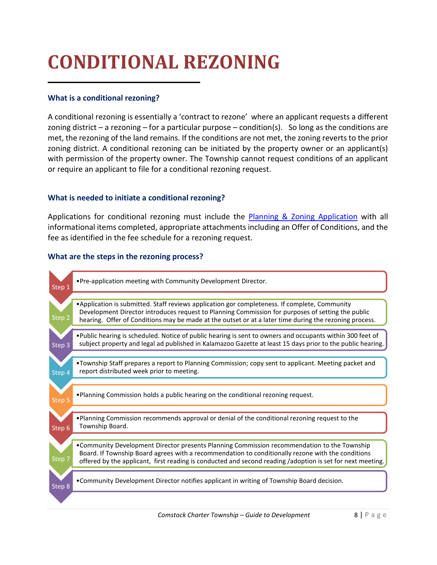### <span id="page-8-0"></span>**CONDITIONAL REZONING**

### **What is a conditional rezoning?**

**\_\_\_\_\_\_\_\_\_\_\_\_\_\_\_\_\_\_\_\_\_\_\_\_\_\_\_\_\_\_\_\_**

A conditional rezoning is essentially a 'contract to rezone' where an applicant requests a different zoning district – a rezoning – for a particular purpose – condition(s). So long as the conditions are met, the rezoning of the land remains. If the conditions are not met, the zoning reverts to the prior zoning district. A conditional rezoning can be initiated by the property owner or an applicant(s) with permission of the property owner. The Township cannot request conditions of an applicant or require an applicant to file for a conditional rezoning request.

### **What is needed to initiate a conditional rezoning?**

Applications for conditional rezoning must include the [Planning & Zoning Application](https://comstockmi.gov/wp-content/uploads/2020/09/1a-Planning-and-Zoning-Application-Form-FILLABLE_Sept2020.pdf) with all informational items completed, appropriate attachments including an Offer of Conditions, and the fee as identified in the fee schedule for a rezoning request.

### **What are the steps in the rezoning process?**

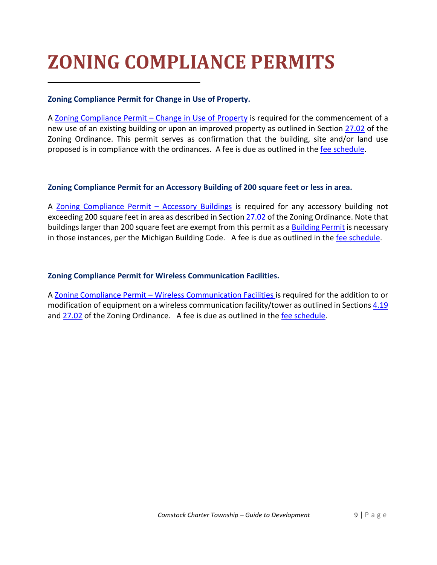### <span id="page-9-0"></span>**ZONING COMPLIANCE PERMITS**

### **Zoning Compliance Permit for Change in Use of Property.**

**\_\_\_\_\_\_\_\_\_\_\_\_\_\_\_\_\_\_\_\_\_\_\_\_\_\_\_\_\_\_\_\_**

A [Zoning Compliance Permit –](https://comstockmi.gov/wp-content/uploads/2020/03/1L-Change-in-Use-ZCP-FILLABLE.pdf) Change in Use of Property is required for the commencement of a new use of an existing building or upon an improved property as outlined in Section [27.02](https://library.municode.com/mi/comstock_charter_township,_(_kalamazoo_co.)/codes/zoning?nodeId=PT300_300.000ZOORORNO156ADNO11976EFJA11977_ART27.00_300.2700ADENAMORNO456_300.2702ZOCOPE) of the Zoning Ordinance. This permit serves as confirmation that the building, site and/or land use proposed is in compliance with the ordinances. A fee is due as outlined in the [fee schedule.](https://comstockmi.gov/wp-content/uploads/2021/05/Planning-and-Zoning-Fee-Schedule.pdf)

### **Zoning Compliance Permit for an Accessory Building of 200 square feet or less in area.**

A Zoning Compliance Permit - Accessory Buildings is required for any accessory building not exceeding 200 square feet in area as described in Section [27.02](https://library.municode.com/mi/comstock_charter_township,_(_kalamazoo_co.)/codes/zoning?nodeId=PT300_300.000ZOORORNO156ADNO11976EFJA11977_ART27.00_300.2700ADENAMORNO456_300.2702ZOCOPE) of the Zoning Ordinance. Note that buildings larger than 200 square feet are exempt from this permit as a **Building Permit is necessary** in those instances, per the Michigan Building Code. A fee is due as outlined in the [fee schedule.](https://comstockmi.gov/wp-content/uploads/2021/05/Planning-and-Zoning-Fee-Schedule.pdf)

### **Zoning Compliance Permit for Wireless Communication Facilities.**

A Zoning Compliance Permit – [Wireless Communication Facilities i](https://www.comstockmi.gov/wp-content/uploads/2019/11/ZON-COMP-PERMIT-APP-FOR-WCF-FILLABLE.pdf)s required for the addition to or modification of equipment on a wireless communication facility/tower as outlined in Section[s 4.19](https://library.municode.com/mi/comstock_charter_township,_(_kalamazoo_co.)/codes/zoning?nodeId=PT300_300.000ZOORORNO156ADNO11976EFJA11977_ART4.00_300.400GEPR_300.419WICOFA) and [27.02](https://library.municode.com/mi/comstock_charter_township,_(_kalamazoo_co.)/codes/zoning?nodeId=PT300_300.000ZOORORNO156ADNO11976EFJA11977_ART27.00_300.2700ADENAMORNO456_300.2702ZOCOPE) of the Zoning Ordinance. A fee is due as outlined in the [fee schedule.](https://comstockmi.gov/wp-content/uploads/2021/05/Planning-and-Zoning-Fee-Schedule.pdf)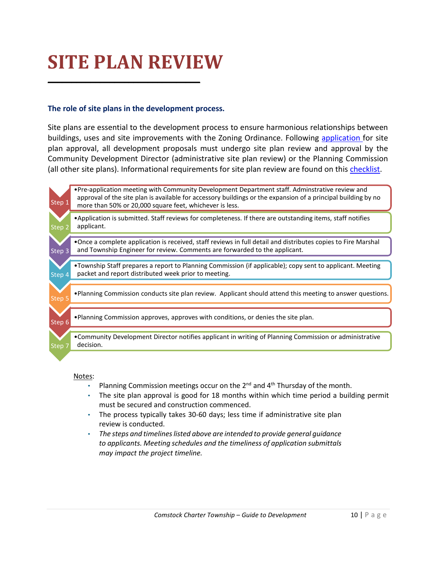### <span id="page-10-0"></span>**SITE PLAN REVIEW**

**\_\_\_\_\_\_\_\_\_\_\_\_\_\_\_\_\_\_\_\_\_\_\_\_\_\_\_\_\_\_\_\_**

### **The role of site plans in the development process.**

Site plans are essential to the development process to ensure harmonious relationships between buildings, uses and site improvements with the Zoning Ordinance. Following [application f](https://comstockmi.gov/wp-content/uploads/2020/09/1a-Planning-and-Zoning-Application-Form-FILLABLE_Sept2020.pdf)or site plan approval, all development proposals must undergo site plan review and approval by the Community Development Director (administrative site plan review) or the Planning Commission (all other site plans). Informational requirements for site plan review are found on this [checklist.](https://www.comstockmi.gov/wp-content/uploads/2019/10/1dsiteplanreviewchecklistoct2018.pdf)



#### Notes:

- Planning Commission meetings occur on the 2<sup>nd</sup> and 4<sup>th</sup> Thursday of the month.
- The site plan approval is good for 18 months within which time period a building permit must be secured and construction commenced.
- The process typically takes 30-60 days; less time if administrative site plan review is conducted.
- *The steps and timelines listed above are intended to provide general guidance to applicants. Meeting schedules and the timeliness of application submittals may impact the project timeline.*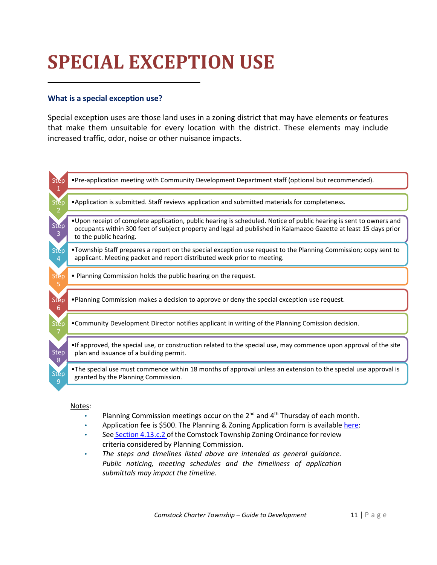### <span id="page-11-0"></span>**SPECIAL EXCEPTION USE**

### **What is a special exception use?**

**\_\_\_\_\_\_\_\_\_\_\_\_\_\_\_\_\_\_\_\_\_\_\_\_\_\_\_\_\_\_\_\_**

Special exception uses are those land uses in a zoning district that may have elements or features that make them unsuitable for every location with the district. These elements may include increased traffic, odor, noise or other nuisance impacts.



#### Notes:

- Planning Commission meetings occur on the  $2^{nd}$  and  $4^{th}$  Thursday of each month.
- Application fee is \$500. The Planning & Zoning Application form is available [here:](https://comstockmi.gov/wp-content/uploads/2020/09/1a-Planning-and-Zoning-Application-Form-FILLABLE_Sept2020.pdf)
- See [Section 4.13.c.2 o](https://library.municode.com/mi/comstock_charter_township,_(_kalamazoo_co.)/codes/zoning?nodeId=PT300_300.000ZOORORNO156ADNO11976EFJA11977_ART4.00_300.400GEPR_300.413USPEUNSPEX)f the Comstock Township Zoning Ordinance for review criteria considered by Planning Commission.
- *The steps and timelines listed above are intended as general guidance. Public noticing, meeting schedules and the timeliness of application submittals may impact the timeline.*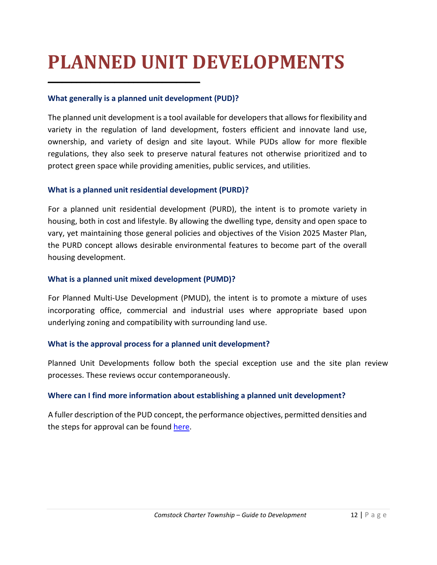### <span id="page-12-0"></span>**PLANNED UNIT DEVELOPMENTS**

### **What generally is a planned unit development (PUD)?**

**\_\_\_\_\_\_\_\_\_\_\_\_\_\_\_\_\_\_\_\_\_\_\_\_\_\_\_\_\_\_\_\_**

The planned unit development is a tool available for developersthat allows for flexibility and variety in the regulation of land development, fosters efficient and innovate land use, ownership, and variety of design and site layout. While PUDs allow for more flexible regulations, they also seek to preserve natural features not otherwise prioritized and to protect green space while providing amenities, public services, and utilities.

### **What is a planned unit residential development (PURD)?**

For a planned unit residential development (PURD), the intent is to promote variety in housing, both in cost and lifestyle. By allowing the dwelling type, density and open space to vary, yet maintaining those general policies and objectives of the Vision 2025 Master Plan, the PURD concept allows desirable environmental features to become part of the overall housing development.

### **What is a planned unit mixed development (PUMD)?**

For Planned Multi-Use Development (PMUD), the intent is to promote a mixture of uses incorporating office, commercial and industrial uses where appropriate based upon underlying zoning and compatibility with surrounding land use.

### **What is the approval process for a planned unit development?**

Planned Unit Developments follow both the special exception use and the site plan review processes. These reviews occur contemporaneously.

### **Where can I find more information about establishing a planned unit development?**

A fuller description of the PUD concept, the performance objectives, permitted densities and the steps for approval can be found [here.](https://library.municode.com/mi/comstock_charter_township,_(_kalamazoo_co.)/codes/zoning?nodeId=PT300)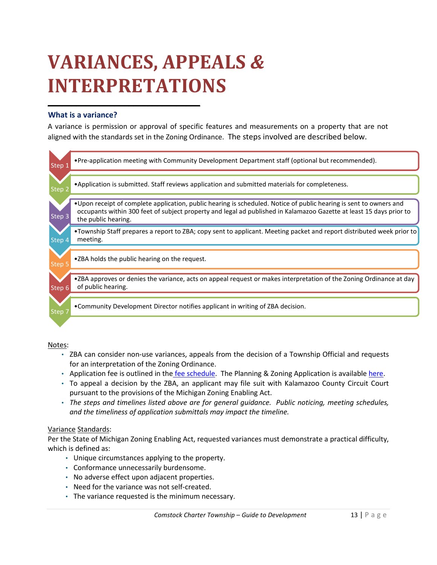### <span id="page-13-0"></span>**VARIANCES, APPEALS** *&* **INTERPRETATIONS**

**\_\_\_\_\_\_\_\_\_\_\_\_\_\_\_\_\_\_\_\_\_\_\_\_\_\_\_\_\_\_\_\_**

#### **What is a variance?**

A variance is permission or approval of specific features and measurements on a property that are not aligned with the standards set in the Zoning Ordinance. The steps involved are described below.

| Step 1 | • Pre-application meeting with Community Development Department staff (optional but recommended).                                                                                                                                                                |
|--------|------------------------------------------------------------------------------------------------------------------------------------------------------------------------------------------------------------------------------------------------------------------|
|        |                                                                                                                                                                                                                                                                  |
| Step 2 | . Application is submitted. Staff reviews application and submitted materials for completeness.                                                                                                                                                                  |
|        |                                                                                                                                                                                                                                                                  |
| Step 3 | •Upon receipt of complete application, public hearing is scheduled. Notice of public hearing is sent to owners and<br>occupants within 300 feet of subject property and legal ad published in Kalamazoo Gazette at least 15 days prior to<br>the public hearing. |
|        |                                                                                                                                                                                                                                                                  |
|        | •Township Staff prepares a report to ZBA; copy sent to applicant. Meeting packet and report distributed week prior to                                                                                                                                            |
|        | meeting.                                                                                                                                                                                                                                                         |
| Step 4 |                                                                                                                                                                                                                                                                  |
|        |                                                                                                                                                                                                                                                                  |
| Step 5 | •ZBA holds the public hearing on the request.                                                                                                                                                                                                                    |
|        |                                                                                                                                                                                                                                                                  |
|        | •ZBA approves or denies the variance, acts on appeal request or makes interpretation of the Zoning Ordinance at day                                                                                                                                              |
|        |                                                                                                                                                                                                                                                                  |
| Step 6 | of public hearing.                                                                                                                                                                                                                                               |
|        |                                                                                                                                                                                                                                                                  |
|        |                                                                                                                                                                                                                                                                  |
|        | • Community Development Director notifies applicant in writing of ZBA decision.                                                                                                                                                                                  |
| Step   |                                                                                                                                                                                                                                                                  |
|        |                                                                                                                                                                                                                                                                  |
|        |                                                                                                                                                                                                                                                                  |
|        |                                                                                                                                                                                                                                                                  |

#### Notes:

- ZBA can consider non-use variances, appeals from the decision of a Township Official and requests for an interpretation of the Zoning Ordinance.
- Application fee is outlined in the [fee schedule.](https://comstockmi.gov/wp-content/uploads/2021/05/Planning-and-Zoning-Fee-Schedule.pdf) The Planning & Zoning Application is availabl[e here.](https://comstockmi.gov/wp-content/uploads/2020/09/1a-Planning-and-Zoning-Application-Form-FILLABLE_Sept2020.pdf)
- To appeal a decision by the ZBA, an applicant may file suit with Kalamazoo County Circuit Court pursuant to the provisions of the Michigan Zoning Enabling Act.
- *The steps and timelines listed above are for general guidance. Public noticing, meeting schedules, and the timeliness of application submittals may impact the timeline.*

#### Variance Standards:

Per the State of Michigan Zoning Enabling Act, requested variances must demonstrate a practical difficulty, which is defined as:

- Unique circumstances applying to the property.
- Conformance unnecessarily burdensome.
- No adverse effect upon adjacent properties.
- Need for the variance was not self-created.
- The variance requested is the minimum necessary.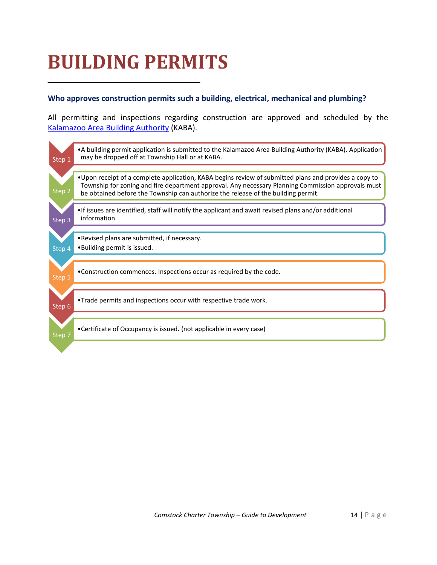### <span id="page-14-0"></span>**BUILDING PERMITS**

**\_\_\_\_\_\_\_\_\_\_\_\_\_\_\_\_\_\_\_\_\_\_\_\_\_\_\_\_\_\_\_\_**

### **Who approves construction permits such a building, electrical, mechanical and plumbing?**

All permitting and inspections regarding construction are approved and scheduled by the [Kalamazoo Area Building Authority](https://kaba-mi.org/) (KABA).

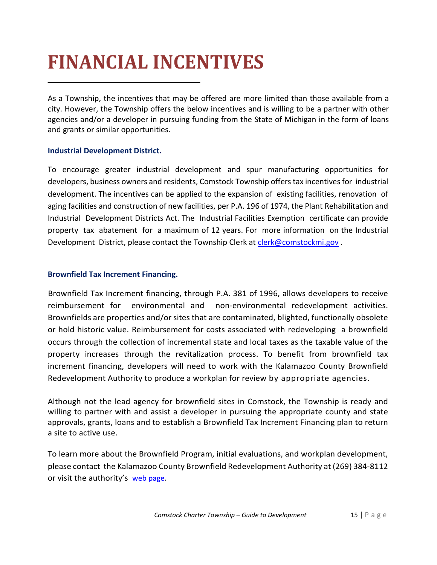### <span id="page-15-0"></span>**FINANCIAL INCENTIVES**

As a Township, the incentives that may be offered are more limited than those available from a city. However, the Township offers the below incentives and is willing to be a partner with other agencies and/or a developer in pursuing funding from the State of Michigan in the form of loans and grants or similar opportunities.

### **Industrial Development District.**

**\_\_\_\_\_\_\_\_\_\_\_\_\_\_\_\_\_\_\_\_\_\_\_\_\_\_\_\_\_\_\_\_**

To encourage greater industrial development and spur manufacturing opportunities for developers, business owners and residents, Comstock Township offers tax incentives for industrial development. The incentives can be applied to the expansion of existing facilities, renovation of aging facilities and construction of new facilities, per P.A. 196 of 1974, the Plant Rehabilitation and Industrial Development Districts Act. The Industrial Facilities Exemption certificate can provide property tax abatement for a maximum of 12 years. For more information on the Industrial Development District, please contact the Township Clerk at [clerk@comstockmi.gov](mailto:clerk@comstockmi.gov).

### **Brownfield Tax Increment Financing.**

Brownfield Tax Increment financing, through P.A. 381 of 1996, allows developers to receive reimbursement for environmental and non-environmental redevelopment activities. Brownfields are properties and/or sites that are contaminated, blighted, functionally obsolete or hold historic value. Reimbursement for costs associated with redeveloping a brownfield occurs through the collection of incremental state and local taxes as the taxable value of the property increases through the revitalization process. To benefit from brownfield tax increment financing, developers will need to work with the Kalamazoo County Brownfield Redevelopment Authority to produce a workplan for review by appropriate agencies.

Although not the lead agency for brownfield sites in Comstock, the Township is ready and willing to partner with and assist a developer in pursuing the appropriate county and state approvals, grants, loans and to establish a Brownfield Tax Increment Financing plan to return a site to active use.

To learn more about the Brownfield Program, initial evaluations, and workplan development, please contact the Kalamazoo County Brownfield Redevelopment Authority at (269) 384-8112 or visit the authority's [web page.](https://kalcountybrownfield.com/)